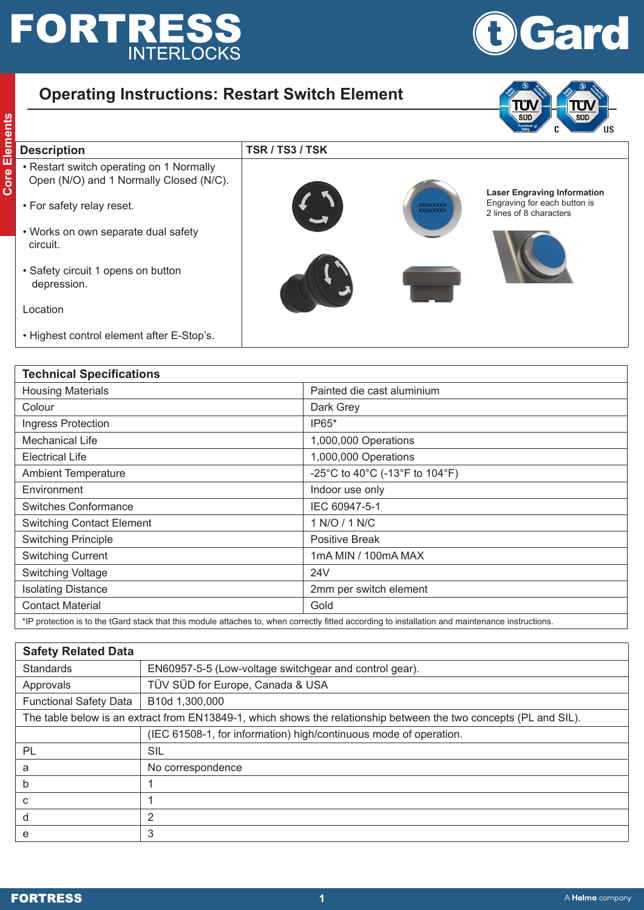# **FORTRESS**



## **Operating Instructions: Restart Switch Element**





### **Correct Control Control Control Control Control Control Core Elements Core Corporating on 1 Normally<br>
Corporating Open (N/O) and 1 Normally Closed (N/C).** • Restart switch operating on 1 Normally Open (N/O) and 1 Normally Closed (N/C). • For safety relay reset. • Works on own separate dual safety circuit. • Safety circuit 1 opens on button depression. Location • Highest control element after E-Stop's. **Laser Engraving Information** Engraving for each button is 2 lines of 8 characters

| <b>Technical Specifications</b>  |                                                                                                                                                  |  |  |  |
|----------------------------------|--------------------------------------------------------------------------------------------------------------------------------------------------|--|--|--|
| <b>Housing Materials</b>         | Painted die cast aluminium                                                                                                                       |  |  |  |
| Colour                           | Dark Grey                                                                                                                                        |  |  |  |
| Ingress Protection               | IP65*                                                                                                                                            |  |  |  |
| Mechanical Life                  | 1,000,000 Operations                                                                                                                             |  |  |  |
| <b>Electrical Life</b>           | 1,000,000 Operations                                                                                                                             |  |  |  |
| <b>Ambient Temperature</b>       | -25°C to 40°C (-13°F to 104°F)                                                                                                                   |  |  |  |
| Environment                      | Indoor use only                                                                                                                                  |  |  |  |
| Switches Conformance             | IEC 60947-5-1                                                                                                                                    |  |  |  |
| <b>Switching Contact Element</b> | 1 N/O / 1 N/C                                                                                                                                    |  |  |  |
| <b>Switching Principle</b>       | <b>Positive Break</b>                                                                                                                            |  |  |  |
| <b>Switching Current</b>         | 1mA MIN / 100mA MAX                                                                                                                              |  |  |  |
| <b>Switching Voltage</b>         | 24 <sub>V</sub>                                                                                                                                  |  |  |  |
| <b>Isolating Distance</b>        | 2mm per switch element                                                                                                                           |  |  |  |
| <b>Contact Material</b>          | Gold                                                                                                                                             |  |  |  |
|                                  | *IP protection is to the tGard stack that this module attaches to, when correctly fitted according to installation and maintenance instructions. |  |  |  |

| <b>Safety Related Data</b>                                                                                        |                                                                   |  |  |
|-------------------------------------------------------------------------------------------------------------------|-------------------------------------------------------------------|--|--|
| <b>Standards</b>                                                                                                  | EN60957-5-5 (Low-voltage switchgear and control gear).            |  |  |
| Approvals                                                                                                         | TÜV SÜD for Europe, Canada & USA                                  |  |  |
| <b>Functional Safety Data</b>                                                                                     | B10d 1,300,000                                                    |  |  |
| The table below is an extract from EN13849-1, which shows the relationship between the two concepts (PL and SIL). |                                                                   |  |  |
|                                                                                                                   | (IEC 61508-1, for information) high/continuous mode of operation. |  |  |
| <b>PL</b>                                                                                                         | SIL                                                               |  |  |
| a                                                                                                                 | No correspondence                                                 |  |  |
| b                                                                                                                 |                                                                   |  |  |
| С                                                                                                                 |                                                                   |  |  |
| d                                                                                                                 | $\overline{2}$                                                    |  |  |
| e                                                                                                                 | 3                                                                 |  |  |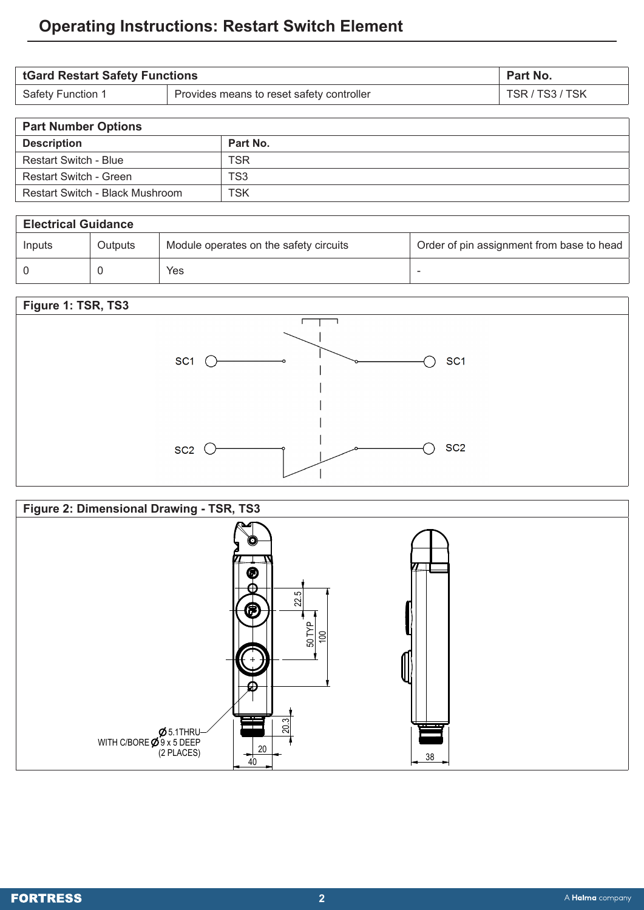# **Operating Instructions: Restart Switch Element**

| <b>tGard Restart Safety Functions</b> |                                           | <b>Part No.</b> |
|---------------------------------------|-------------------------------------------|-----------------|
| Safety Function 1                     | Provides means to reset safety controller | TSR / TS3 / TSK |

| <b>Part Number Options</b>      |               |
|---------------------------------|---------------|
| <b>Description</b>              | Part No.      |
| <b>Restart Switch - Blue</b>    | <b>TCL</b>    |
| Restart Switch - Green          | $\sim$ $\sim$ |
| Restart Switch - Black Mushroom | <b>TSK</b>    |

| <b>Electrical Guidance</b> |         |                                        |                                           |  |  |
|----------------------------|---------|----------------------------------------|-------------------------------------------|--|--|
| Inputs                     | Outputs | Module operates on the safety circuits | Order of pin assignment from base to head |  |  |
|                            |         | Yes                                    |                                           |  |  |





18.1 20.3